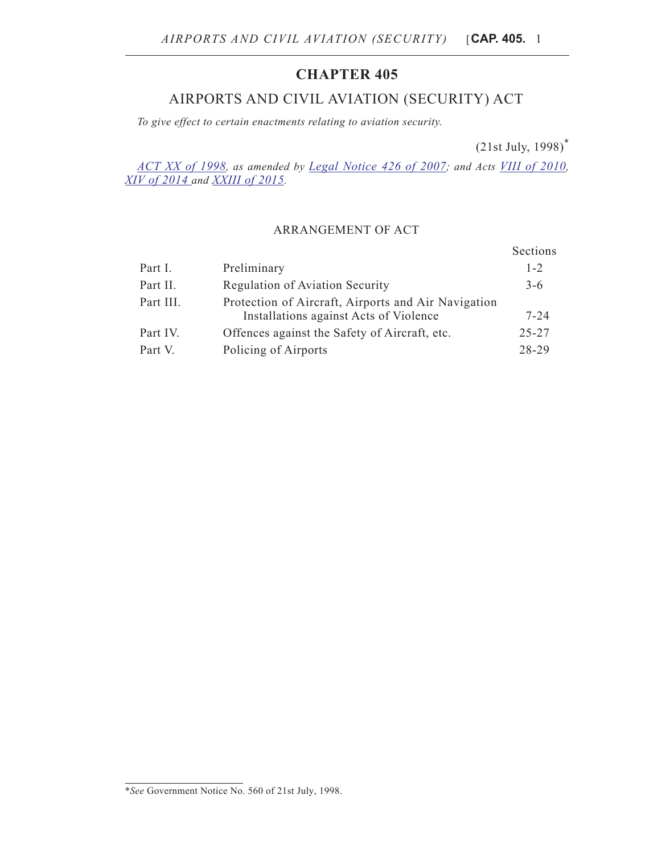## **CHAPTER 405**

# AIRPORTS AND CIVIL AVIATION (SECURITY) ACT

*To give effect to certain enactments relating to aviation security.*

(21st July, 1998)\*

*[ACT XX of 1998,](http://www.justiceservices.gov.mt/DownloadDocument.aspx?app=lp&itemid=15905&l=1) as amended by [Legal Notice 426 of 2007](http://www.justiceservices.gov.mt/DownloadDocument.aspx?app=lp&itemid=20418&l=1); and Acts [VIII of 2010](http://www.justiceservices.gov.mt/DownloadDocument.aspx?app=lp&itemid=21266&l=1), [XIV of 2014](http://www.justiceservices.gov.mt/DownloadDocument.aspx?app=lp&itemid=26062&l=1) and [XXIII of 2015](http://www.justiceservices.gov.mt/DownloadDocument.aspx?app=lp&itemid=26999&l=1).*

## ARRANGEMENT OF ACT

|           |                                                                                               | Sections  |
|-----------|-----------------------------------------------------------------------------------------------|-----------|
| Part I.   | Preliminary                                                                                   | $1 - 2$   |
| Part II.  | Regulation of Aviation Security                                                               | $3-6$     |
| Part III. | Protection of Aircraft, Airports and Air Navigation<br>Installations against Acts of Violence | $7 - 24$  |
| Part IV.  | Offences against the Safety of Aircraft, etc.                                                 | $25 - 27$ |
| Part V.   | Policing of Airports                                                                          | 28-29     |

<sup>\*</sup>*See* Government Notice No. 560 of 21st July, 1998.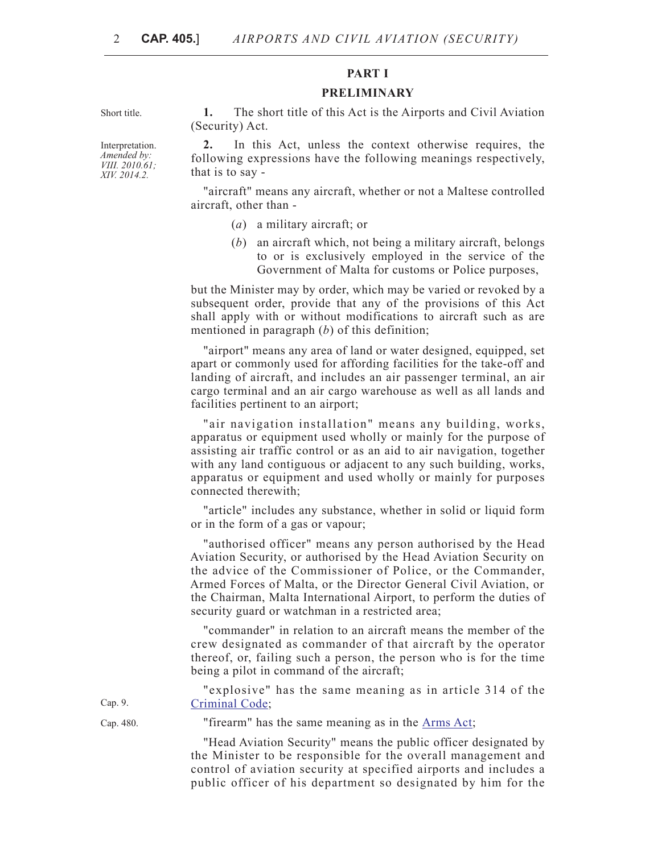## **PART I**

#### **PRELIMINARY**

Short title. **1.** The short title of this Act is the Airports and Civil Aviation (Security) Act.

> **2.** In this Act, unless the context otherwise requires, the following expressions have the following meanings respectively, that is to say -

> "aircraft" means any aircraft, whether or not a Maltese controlled aircraft, other than -

- (*a*) a military aircraft; or
- (*b*) an aircraft which, not being a military aircraft, belongs to or is exclusively employed in the service of the Government of Malta for customs or Police purposes,

but the Minister may by order, which may be varied or revoked by a subsequent order, provide that any of the provisions of this Act shall apply with or without modifications to aircraft such as are mentioned in paragraph (*b*) of this definition;

"airport" means any area of land or water designed, equipped, set apart or commonly used for affording facilities for the take-off and landing of aircraft, and includes an air passenger terminal, an air cargo terminal and an air cargo warehouse as well as all lands and facilities pertinent to an airport;

"air navigation installation" means any building, works, apparatus or equipment used wholly or mainly for the purpose of assisting air traffic control or as an aid to air navigation, together with any land contiguous or adjacent to any such building, works, apparatus or equipment and used wholly or mainly for purposes connected therewith;

"article" includes any substance, whether in solid or liquid form or in the form of a gas or vapour;

"authorised officer" means any person authorised by the Head Aviation Security, or authorised by the Head Aviation Security on the advice of the Commissioner of Police, or the Commander, Armed Forces of Malta, or the Director General Civil Aviation, or the Chairman, Malta International Airport, to perform the duties of security guard or watchman in a restricted area;

"commander" in relation to an aircraft means the member of the crew designated as commander of that aircraft by the operator thereof, or, failing such a person, the person who is for the time being a pilot in command of the aircraft;

"explosive" has the same meaning as in article 314 of the [Criminal Code;](http://www.justiceservices.gov.mt/DownloadDocument.aspx?app=lom&itemid=8574&l=1)

Cap. 9.

Cap. 480. "firearm" has the same meaning as in the [Arms Act;](http://www.justiceservices.gov.mt/DownloadDocument.aspx?app=lom&itemid=8946&l=1)

"Head Aviation Security" means the public officer designated by the Minister to be responsible for the overall management and control of aviation security at specified airports and includes a public officer of his department so designated by him for the

Interpretation. *Amended by: VIII. 2010.61; XIV. 2014.2.*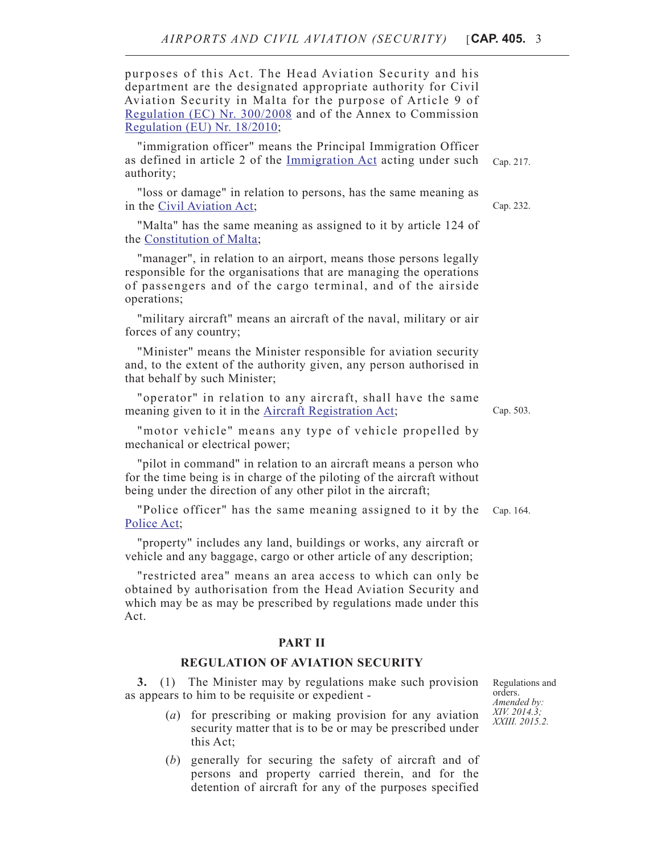purposes of this Act. The Head Aviation Security and his department are the designated appropriate authority for Civil Aviation Security in Malta for the purpose of Article 9 of [Regulation \(EC\) Nr. 300/2008](http://eur-lex.europa.eu/search.html?instInvStatus=ALL&or0=DN%3D32008r0300*,DN-old%3D32008r0300*&qid=1400507566743&DTC=false&DTS_DOM=ALL&type=advanced&lang=en&SUBDOM_INIT=ALL_ALL&DTS_SUBDOM=ALL_ALL) and of the Annex to Commission [Regulation \(EU\) Nr. 18/2010;](http://eur-lex.europa.eu/search.html?instInvStatus=ALL&or0=DN%3D32010r0018*,DN-old%3D32010r0018*&qid=1400507609772&DTC=false&DTS_DOM=ALL&type=advanced&lang=en&SUBDOM_INIT=ALL_ALL&DTS_SUBDOM=ALL_ALL)

"immigration officer" means the Principal Immigration Officer as defined in article 2 of the [Immigration Act](http://www.justiceservices.gov.mt/DownloadDocument.aspx?app=lom&itemid=8722&l=1) acting under such authority;

"loss or damage" in relation to persons, has the same meaning as in the [Civil Aviation Act](http://www.justiceservices.gov.mt/DownloadDocument.aspx?app=lom&itemid=8732&l=1);

"Malta" has the same meaning as assigned to it by article 124 of the [Constitution of Malta](http://www.justiceservices.gov.mt/DownloadDocument.aspx?app=lom&itemid=8566&l=1);

"manager", in relation to an airport, means those persons legally responsible for the organisations that are managing the operations of passengers and of the cargo terminal, and of the airside operations;

"military aircraft" means an aircraft of the naval, military or air forces of any country;

"Minister" means the Minister responsible for aviation security and, to the extent of the authority given, any person authorised in that behalf by such Minister;

"operator" in relation to any aircraft, shall have the same meaning given to it in the [Aircraft Registration Act](http://www.justiceservices.gov.mt/DownloadDocument.aspx?app=lom&itemid=11388&l=1);

"motor vehicle" means any type of vehicle propelled by mechanical or electrical power;

"pilot in command" in relation to an aircraft means a person who for the time being is in charge of the piloting of the aircraft without being under the direction of any other pilot in the aircraft;

"Police officer" has the same meaning assigned to it by the Cap. 164. [Police Act](http://www.justiceservices.gov.mt/DownloadDocument.aspx?app=lom&itemid=8686&l=1);

"property" includes any land, buildings or works, any aircraft or vehicle and any baggage, cargo or other article of any description;

"restricted area" means an area access to which can only be obtained by authorisation from the Head Aviation Security and which may be as may be prescribed by regulations made under this Act.

### **PART II**

#### **REGULATION OF AVIATION SECURITY**

**3.** (1) The Minister may by regulations make such provision as appears to him to be requisite or expedient -

- (*a*) for prescribing or making provision for any aviation security matter that is to be or may be prescribed under this Act;
- (*b*) generally for securing the safety of aircraft and of persons and property carried therein, and for the detention of aircraft for any of the purposes specified

Regulations and orders. *Amended by: XIV. 2014.3; XXIII. 2015.2.*

Cap. 503.

Cap. 232.

Cap. 217.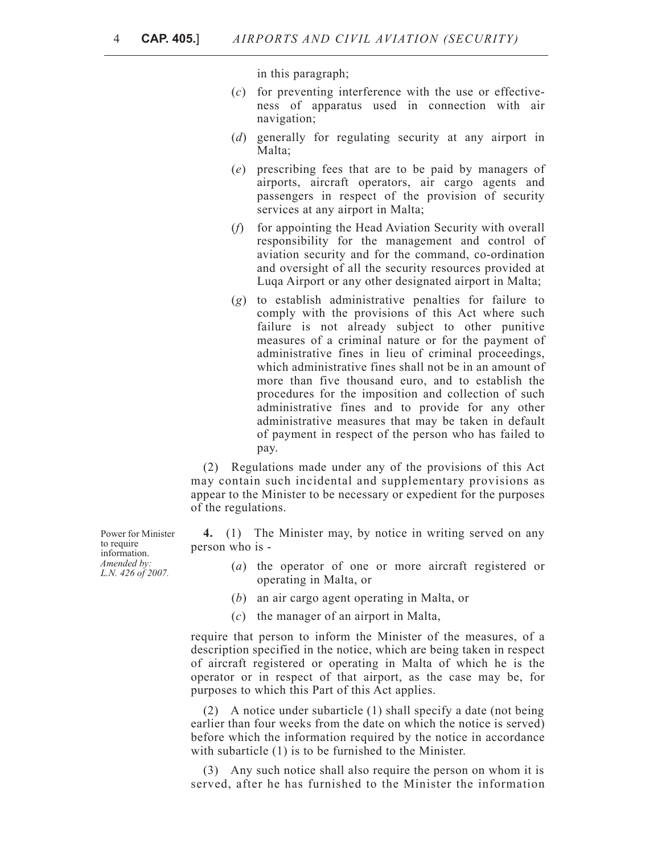in this paragraph;

- (*c*) for preventing interference with the use or effectiveness of apparatus used in connection with air navigation;
- (*d*) generally for regulating security at any airport in Malta;
- (*e*) prescribing fees that are to be paid by managers of airports, aircraft operators, air cargo agents and passengers in respect of the provision of security services at any airport in Malta;
- (*f*) for appointing the Head Aviation Security with overall responsibility for the management and control of aviation security and for the command, co-ordination and oversight of all the security resources provided at Luqa Airport or any other designated airport in Malta;
- (*g*) to establish administrative penalties for failure to comply with the provisions of this Act where such failure is not already subject to other punitive measures of a criminal nature or for the payment of administrative fines in lieu of criminal proceedings, which administrative fines shall not be in an amount of more than five thousand euro, and to establish the procedures for the imposition and collection of such administrative fines and to provide for any other administrative measures that may be taken in default of payment in respect of the person who has failed to pay.

(2) Regulations made under any of the provisions of this Act may contain such incidental and supplementary provisions as appear to the Minister to be necessary or expedient for the purposes of the regulations.

**4.** (1) The Minister may, by notice in writing served on any person who is -

- (*a*) the operator of one or more aircraft registered or operating in Malta, or
- (*b*) an air cargo agent operating in Malta, or
- (*c*) the manager of an airport in Malta,

require that person to inform the Minister of the measures, of a description specified in the notice, which are being taken in respect of aircraft registered or operating in Malta of which he is the operator or in respect of that airport, as the case may be, for purposes to which this Part of this Act applies.

(2) A notice under subarticle (1) shall specify a date (not being earlier than four weeks from the date on which the notice is served) before which the information required by the notice in accordance with subarticle (1) is to be furnished to the Minister.

(3) Any such notice shall also require the person on whom it is served, after he has furnished to the Minister the information

Power for Minister to require information. *Amended by: L.N. 426 of 2007.*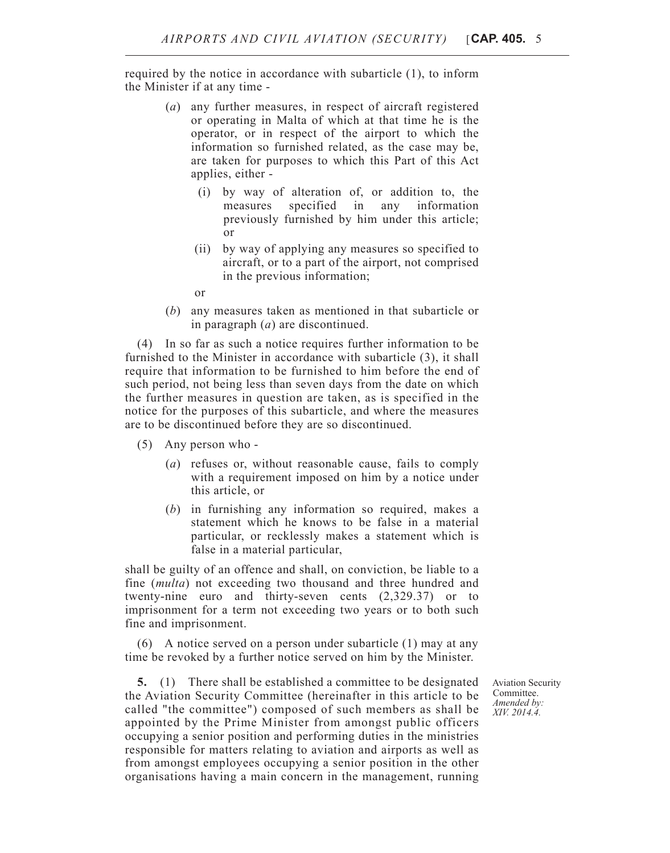required by the notice in accordance with subarticle (1), to inform the Minister if at any time -

- (*a*) any further measures, in respect of aircraft registered or operating in Malta of which at that time he is the operator, or in respect of the airport to which the information so furnished related, as the case may be, are taken for purposes to which this Part of this Act applies, either -
	- (i) by way of alteration of, or addition to, the measures specified in any information previously furnished by him under this article; or
	- (ii) by way of applying any measures so specified to aircraft, or to a part of the airport, not comprised in the previous information;
	- or
- (*b*) any measures taken as mentioned in that subarticle or in paragraph (*a*) are discontinued.

(4) In so far as such a notice requires further information to be furnished to the Minister in accordance with subarticle (3), it shall require that information to be furnished to him before the end of such period, not being less than seven days from the date on which the further measures in question are taken, as is specified in the notice for the purposes of this subarticle, and where the measures are to be discontinued before they are so discontinued.

- (5) Any person who
	- (*a*) refuses or, without reasonable cause, fails to comply with a requirement imposed on him by a notice under this article, or
	- (*b*) in furnishing any information so required, makes a statement which he knows to be false in a material particular, or recklessly makes a statement which is false in a material particular,

shall be guilty of an offence and shall, on conviction, be liable to a fine (*multa*) not exceeding two thousand and three hundred and twenty-nine euro and thirty-seven cents (2,329.37) or to imprisonment for a term not exceeding two years or to both such fine and imprisonment.

(6) A notice served on a person under subarticle (1) may at any time be revoked by a further notice served on him by the Minister.

**5.** (1) There shall be established a committee to be designated the Aviation Security Committee (hereinafter in this article to be called "the committee") composed of such members as shall be appointed by the Prime Minister from amongst public officers occupying a senior position and performing duties in the ministries responsible for matters relating to aviation and airports as well as from amongst employees occupying a senior position in the other organisations having a main concern in the management, running

Aviation Security Committee. *Amended by: XIV. 2014.4.*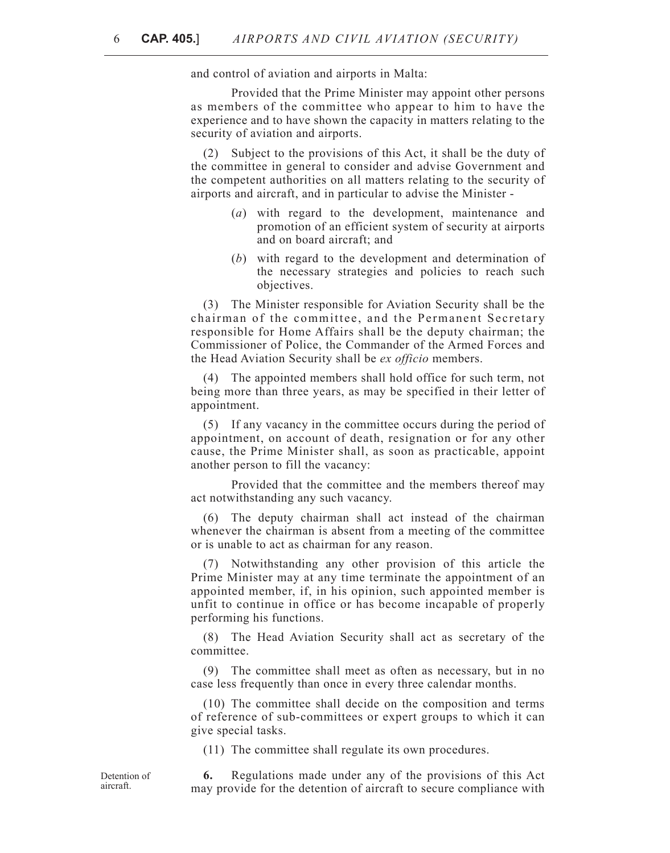and control of aviation and airports in Malta:

Provided that the Prime Minister may appoint other persons as members of the committee who appear to him to have the experience and to have shown the capacity in matters relating to the security of aviation and airports.

(2) Subject to the provisions of this Act, it shall be the duty of the committee in general to consider and advise Government and the competent authorities on all matters relating to the security of airports and aircraft, and in particular to advise the Minister -

- (*a*) with regard to the development, maintenance and promotion of an efficient system of security at airports and on board aircraft; and
- (*b*) with regard to the development and determination of the necessary strategies and policies to reach such objectives.

(3) The Minister responsible for Aviation Security shall be the chairman of the committee, and the Permanent Secretary responsible for Home Affairs shall be the deputy chairman; the Commissioner of Police, the Commander of the Armed Forces and the Head Aviation Security shall be *ex officio* members.

(4) The appointed members shall hold office for such term, not being more than three years, as may be specified in their letter of appointment.

(5) If any vacancy in the committee occurs during the period of appointment, on account of death, resignation or for any other cause, the Prime Minister shall, as soon as practicable, appoint another person to fill the vacancy:

Provided that the committee and the members thereof may act notwithstanding any such vacancy.

(6) The deputy chairman shall act instead of the chairman whenever the chairman is absent from a meeting of the committee or is unable to act as chairman for any reason.

(7) Notwithstanding any other provision of this article the Prime Minister may at any time terminate the appointment of an appointed member, if, in his opinion, such appointed member is unfit to continue in office or has become incapable of properly performing his functions.

(8) The Head Aviation Security shall act as secretary of the committee.

(9) The committee shall meet as often as necessary, but in no case less frequently than once in every three calendar months.

(10) The committee shall decide on the composition and terms of reference of sub-committees or expert groups to which it can give special tasks.

(11) The committee shall regulate its own procedures.

Detention of aircraft.

**6.** Regulations made under any of the provisions of this Act may provide for the detention of aircraft to secure compliance with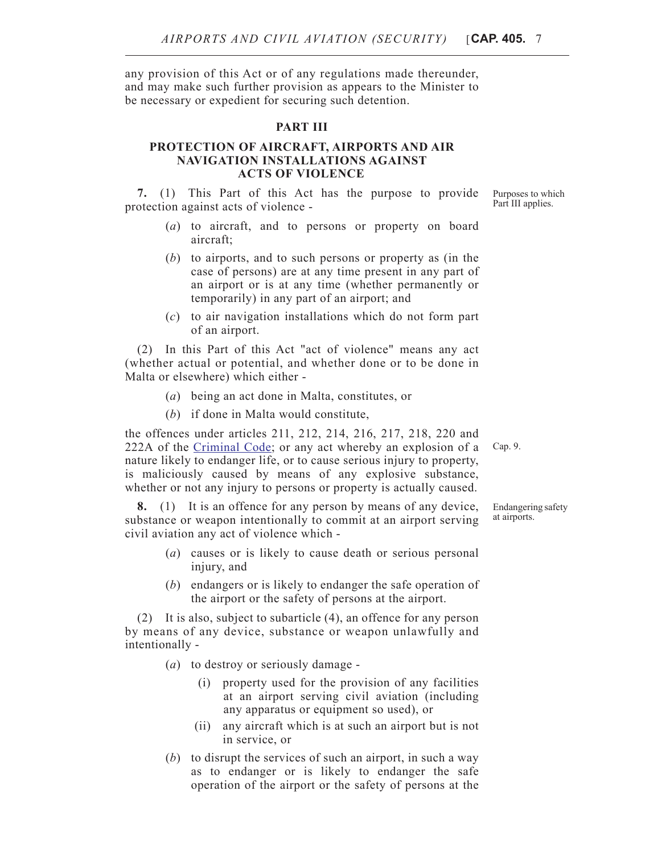any provision of this Act or of any regulations made thereunder, and may make such further provision as appears to the Minister to be necessary or expedient for securing such detention.

### **PART III**

## **PROTECTION OF AIRCRAFT, AIRPORTS AND AIR NAVIGATION INSTALLATIONS AGAINST ACTS OF VIOLENCE**

**7.** (1) This Part of this Act has the purpose to provide protection against acts of violence -

- (*a*) to aircraft, and to persons or property on board aircraft;
- (*b*) to airports, and to such persons or property as (in the case of persons) are at any time present in any part of an airport or is at any time (whether permanently or temporarily) in any part of an airport; and
- (*c*) to air navigation installations which do not form part of an airport.

(2) In this Part of this Act "act of violence" means any act (whether actual or potential, and whether done or to be done in Malta or elsewhere) which either -

- (*a*) being an act done in Malta, constitutes, or
- (*b*) if done in Malta would constitute,

the offences under articles 211, 212, 214, 216, 217, 218, 220 and 222A of the [Criminal Code;](http://www.justiceservices.gov.mt/DownloadDocument.aspx?app=lom&itemid=8574&l=1) or any act whereby an explosion of a nature likely to endanger life, or to cause serious injury to property, is maliciously caused by means of any explosive substance, whether or not any injury to persons or property is actually caused.

**8.** (1) It is an offence for any person by means of any device, substance or weapon intentionally to commit at an airport serving civil aviation any act of violence which -

- (*a*) causes or is likely to cause death or serious personal injury, and
- (*b*) endangers or is likely to endanger the safe operation of the airport or the safety of persons at the airport.

(2) It is also, subject to subarticle (4), an offence for any person by means of any device, substance or weapon unlawfully and intentionally -

- (*a*) to destroy or seriously damage
	- (i) property used for the provision of any facilities at an airport serving civil aviation (including any apparatus or equipment so used), or
	- (ii) any aircraft which is at such an airport but is not in service, or
- (*b*) to disrupt the services of such an airport, in such a way as to endanger or is likely to endanger the safe operation of the airport or the safety of persons at the

Purposes to which Part III applies.

Cap. 9.

Endangering safety at airports.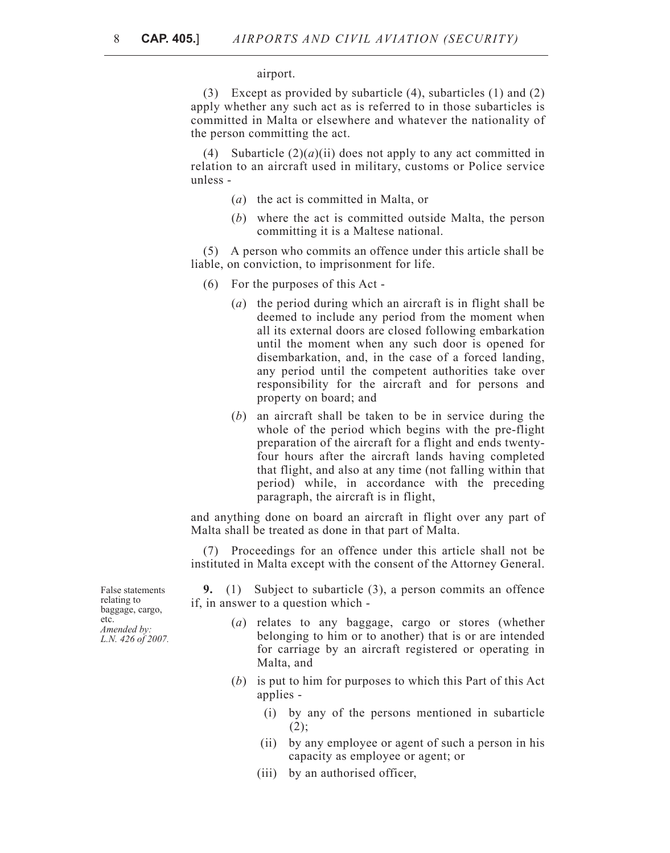#### airport.

(3) Except as provided by subarticle (4), subarticles (1) and (2) apply whether any such act as is referred to in those subarticles is committed in Malta or elsewhere and whatever the nationality of the person committing the act.

(4) Subarticle  $(2)(a)(ii)$  does not apply to any act committed in relation to an aircraft used in military, customs or Police service unless -

- (*a*) the act is committed in Malta, or
- (*b*) where the act is committed outside Malta, the person committing it is a Maltese national.

(5) A person who commits an offence under this article shall be liable, on conviction, to imprisonment for life.

- (6) For the purposes of this Act
	- (*a*) the period during which an aircraft is in flight shall be deemed to include any period from the moment when all its external doors are closed following embarkation until the moment when any such door is opened for disembarkation, and, in the case of a forced landing, any period until the competent authorities take over responsibility for the aircraft and for persons and property on board; and
	- (*b*) an aircraft shall be taken to be in service during the whole of the period which begins with the pre-flight preparation of the aircraft for a flight and ends twentyfour hours after the aircraft lands having completed that flight, and also at any time (not falling within that period) while, in accordance with the preceding paragraph, the aircraft is in flight,

and anything done on board an aircraft in flight over any part of Malta shall be treated as done in that part of Malta.

(7) Proceedings for an offence under this article shall not be instituted in Malta except with the consent of the Attorney General.

**9.** (1) Subject to subarticle (3), a person commits an offence if, in answer to a question which -

- (*a*) relates to any baggage, cargo or stores (whether belonging to him or to another) that is or are intended for carriage by an aircraft registered or operating in Malta, and
- (*b*) is put to him for purposes to which this Part of this Act applies -
	- (i) by any of the persons mentioned in subarticle  $(2)$ :
	- (ii) by any employee or agent of such a person in his capacity as employee or agent; or
	- (iii) by an authorised officer,

False statements relating to baggage, cargo, etc. *Amended by: L.N. 426 of 2007.*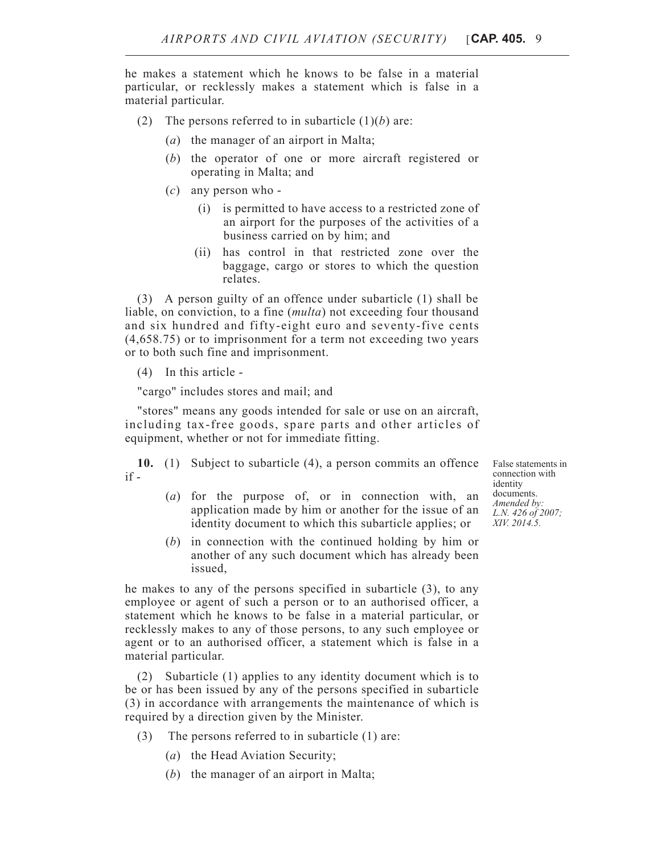he makes a statement which he knows to be false in a material particular, or recklessly makes a statement which is false in a material particular.

- (2) The persons referred to in subarticle  $(1)(b)$  are:
	- (*a*) the manager of an airport in Malta;
	- (*b*) the operator of one or more aircraft registered or operating in Malta; and
	- (*c*) any person who
		- (i) is permitted to have access to a restricted zone of an airport for the purposes of the activities of a business carried on by him; and
		- (ii) has control in that restricted zone over the baggage, cargo or stores to which the question relates.

(3) A person guilty of an offence under subarticle (1) shall be liable, on conviction, to a fine (*multa*) not exceeding four thousand and six hundred and fifty-eight euro and seventy-five cents (4,658.75) or to imprisonment for a term not exceeding two years or to both such fine and imprisonment.

(4) In this article -

"cargo" includes stores and mail; and

"stores" means any goods intended for sale or use on an aircraft, including tax-free goods, spare parts and other articles of equipment, whether or not for immediate fitting.

**10.** (1) Subject to subarticle (4), a person commits an offence if -

- (*a*) for the purpose of, or in connection with, an application made by him or another for the issue of an identity document to which this subarticle applies; or
- (*b*) in connection with the continued holding by him or another of any such document which has already been issued,

he makes to any of the persons specified in subarticle (3), to any employee or agent of such a person or to an authorised officer, a statement which he knows to be false in a material particular, or recklessly makes to any of those persons, to any such employee or agent or to an authorised officer, a statement which is false in a material particular.

(2) Subarticle (1) applies to any identity document which is to be or has been issued by any of the persons specified in subarticle (3) in accordance with arrangements the maintenance of which is required by a direction given by the Minister.

- (3) The persons referred to in subarticle (1) are:
	- (*a*) the Head Aviation Security;
	- (*b*) the manager of an airport in Malta;

False statements in connection with identity documents. *Amended by: L.N. 426 of 2007; XIV. 2014.5.*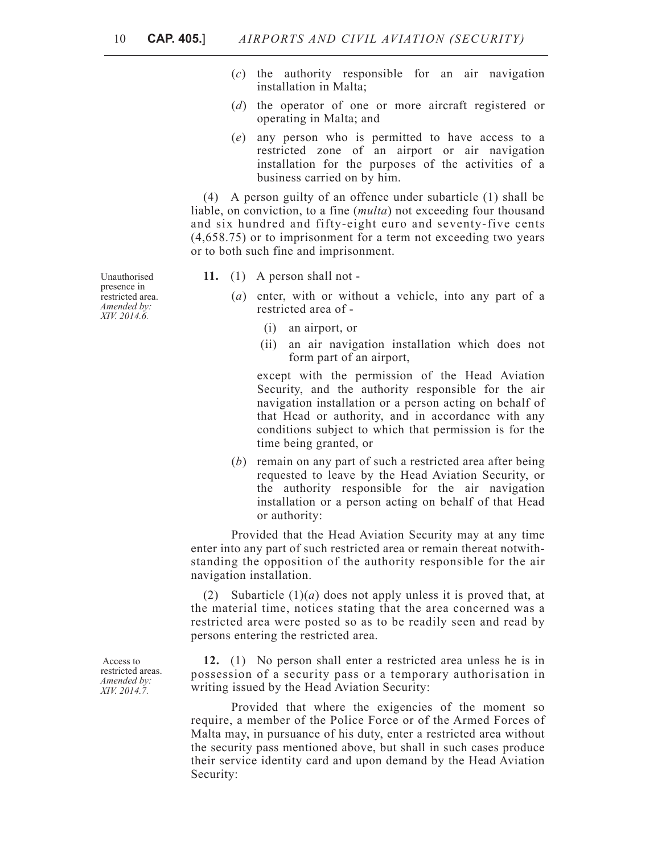- (*c*) the authority responsible for an air navigation installation in Malta;
- (*d*) the operator of one or more aircraft registered or operating in Malta; and
- (*e*) any person who is permitted to have access to a restricted zone of an airport or air navigation installation for the purposes of the activities of a business carried on by him.

(4) A person guilty of an offence under subarticle (1) shall be liable, on conviction, to a fine (*multa*) not exceeding four thousand and six hundred and fifty-eight euro and seventy-five cents (4,658.75) or to imprisonment for a term not exceeding two years or to both such fine and imprisonment.

- **11.** (1) A person shall not
	- (*a*) enter, with or without a vehicle, into any part of a restricted area of -
		- (i) an airport, or
		- (ii) an air navigation installation which does not form part of an airport,

except with the permission of the Head Aviation Security, and the authority responsible for the air navigation installation or a person acting on behalf of that Head or authority, and in accordance with any conditions subject to which that permission is for the time being granted, or

(*b*) remain on any part of such a restricted area after being requested to leave by the Head Aviation Security, or the authority responsible for the air navigation installation or a person acting on behalf of that Head or authority:

Provided that the Head Aviation Security may at any time enter into any part of such restricted area or remain thereat notwithstanding the opposition of the authority responsible for the air navigation installation.

(2) Subarticle (1)(*a*) does not apply unless it is proved that, at the material time, notices stating that the area concerned was a restricted area were posted so as to be readily seen and read by persons entering the restricted area.

**12.** (1) No person shall enter a restricted area unless he is in possession of a security pass or a temporary authorisation in writing issued by the Head Aviation Security:

Provided that where the exigencies of the moment so require, a member of the Police Force or of the Armed Forces of Malta may, in pursuance of his duty, enter a restricted area without the security pass mentioned above, but shall in such cases produce their service identity card and upon demand by the Head Aviation Security:

Unauthorised presence in restricted area. *Amended by: XIV. 2014.6.*

 Access to restricted areas. *Amended by: XIV. 2014.7.*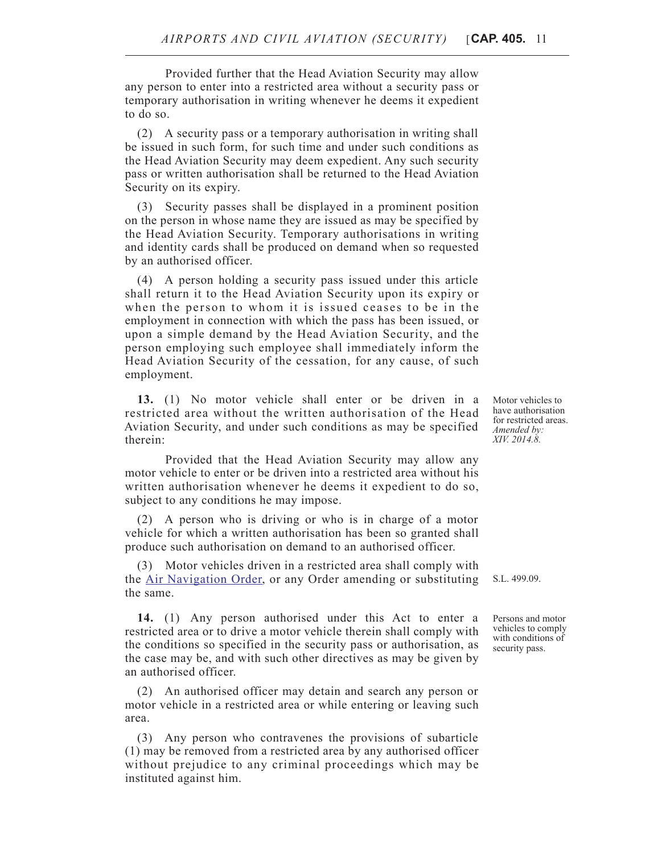Provided further that the Head Aviation Security may allow any person to enter into a restricted area without a security pass or temporary authorisation in writing whenever he deems it expedient to do so.

(2) A security pass or a temporary authorisation in writing shall be issued in such form, for such time and under such conditions as the Head Aviation Security may deem expedient. Any such security pass or written authorisation shall be returned to the Head Aviation Security on its expiry.

(3) Security passes shall be displayed in a prominent position on the person in whose name they are issued as may be specified by the Head Aviation Security. Temporary authorisations in writing and identity cards shall be produced on demand when so requested by an authorised officer.

(4) A person holding a security pass issued under this article shall return it to the Head Aviation Security upon its expiry or when the person to whom it is issued ceases to be in the employment in connection with which the pass has been issued, or upon a simple demand by the Head Aviation Security, and the person employing such employee shall immediately inform the Head Aviation Security of the cessation, for any cause, of such employment.

**13.** (1) No motor vehicle shall enter or be driven in a restricted area without the written authorisation of the Head Aviation Security, and under such conditions as may be specified therein:

Provided that the Head Aviation Security may allow any motor vehicle to enter or be driven into a restricted area without his written authorisation whenever he deems it expedient to do so, subject to any conditions he may impose.

(2) A person who is driving or who is in charge of a motor vehicle for which a written authorisation has been so granted shall produce such authorisation on demand to an authorised officer.

(3) Motor vehicles driven in a restricted area shall comply with the [Air Navigation Order](http://www.justiceservices.gov.mt/DownloadDocument.aspx?app=lom&itemid=11331&l=1), or any Order amending or substituting the same.

**14.** (1) Any person authorised under this Act to enter a restricted area or to drive a motor vehicle therein shall comply with the conditions so specified in the security pass or authorisation, as the case may be, and with such other directives as may be given by an authorised officer.

(2) An authorised officer may detain and search any person or motor vehicle in a restricted area or while entering or leaving such area.

(3) Any person who contravenes the provisions of subarticle (1) may be removed from a restricted area by any authorised officer without prejudice to any criminal proceedings which may be instituted against him.

Motor vehicles to have authorisation for restricted areas. *Amended by: XIV. 2014.8.*

S.L. 499.09.

Persons and motor vehicles to comply with conditions of security pass.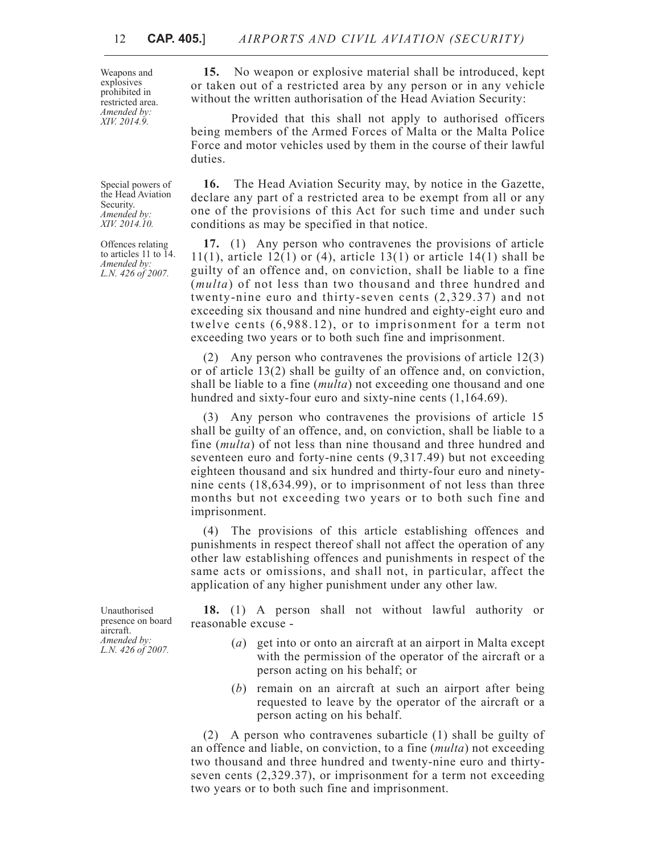Weapons and explosives prohibited in restricted area. *Amended by: XIV. 2014.9.*

Special powers of the Head Aviation Security. *Amended by: XIV. 2014.10.*

Offences relating to articles 11 to 14. *Amended by: L.N. 426 of 2007.*

**15.** No weapon or explosive material shall be introduced, kept or taken out of a restricted area by any person or in any vehicle without the written authorisation of the Head Aviation Security:

Provided that this shall not apply to authorised officers being members of the Armed Forces of Malta or the Malta Police Force and motor vehicles used by them in the course of their lawful duties.

**16.** The Head Aviation Security may, by notice in the Gazette, declare any part of a restricted area to be exempt from all or any one of the provisions of this Act for such time and under such conditions as may be specified in that notice.

**17.** (1) Any person who contravenes the provisions of article 11(1), article 12(1) or (4), article 13(1) or article 14(1) shall be guilty of an offence and, on conviction, shall be liable to a fine (*multa*) of not less than two thousand and three hundred and twenty-nine euro and thirty-seven cents (2,329.37) and not exceeding six thousand and nine hundred and eighty-eight euro and twelve cents (6,988.12), or to imprisonment for a term not exceeding two years or to both such fine and imprisonment.

(2) Any person who contravenes the provisions of article 12(3) or of article 13(2) shall be guilty of an offence and, on conviction, shall be liable to a fine (*multa*) not exceeding one thousand and one hundred and sixty-four euro and sixty-nine cents  $(1,164.69)$ .

(3) Any person who contravenes the provisions of article 15 shall be guilty of an offence, and, on conviction, shall be liable to a fine (*multa*) of not less than nine thousand and three hundred and seventeen euro and forty-nine cents (9,317.49) but not exceeding eighteen thousand and six hundred and thirty-four euro and ninetynine cents (18,634.99), or to imprisonment of not less than three months but not exceeding two years or to both such fine and imprisonment.

(4) The provisions of this article establishing offences and punishments in respect thereof shall not affect the operation of any other law establishing offences and punishments in respect of the same acts or omissions, and shall not, in particular, affect the application of any higher punishment under any other law.

**18.** (1) A person shall not without lawful authority or reasonable excuse -

- (*a*) get into or onto an aircraft at an airport in Malta except with the permission of the operator of the aircraft or a person acting on his behalf; or
- (*b*) remain on an aircraft at such an airport after being requested to leave by the operator of the aircraft or a person acting on his behalf.

(2) A person who contravenes subarticle (1) shall be guilty of an offence and liable, on conviction, to a fine (*multa*) not exceeding two thousand and three hundred and twenty-nine euro and thirtyseven cents (2,329.37), or imprisonment for a term not exceeding two years or to both such fine and imprisonment.

Unauthorised presence on board aircraft. *Amended by: L.N. 426 of 2007.*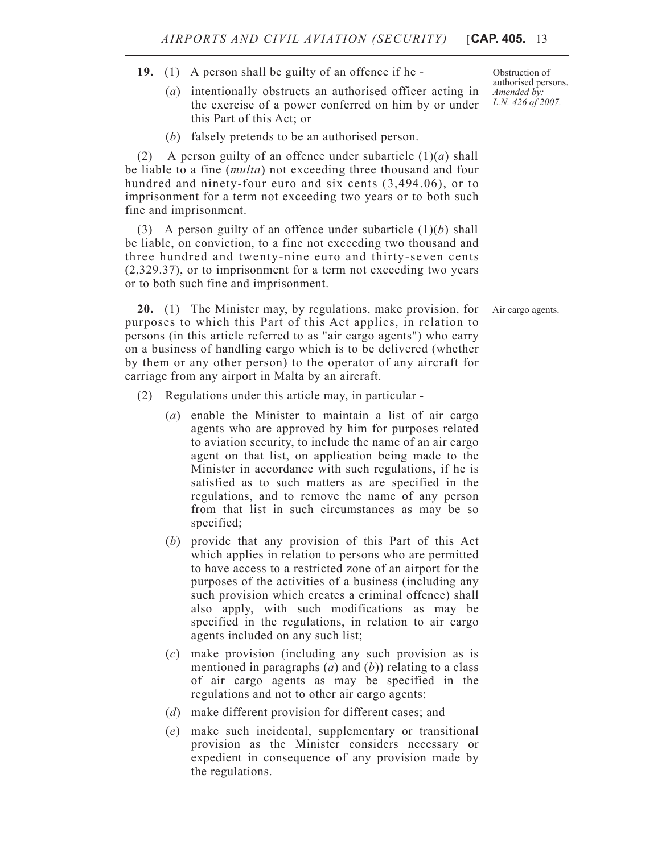- **19.** (1) A person shall be guilty of an offence if he
	- (*a*) intentionally obstructs an authorised officer acting in the exercise of a power conferred on him by or under this Part of this Act; or
	- (*b*) falsely pretends to be an authorised person.

(2) A person guilty of an offence under subarticle  $(1)(a)$  shall be liable to a fine (*multa*) not exceeding three thousand and four hundred and ninety-four euro and six cents  $(3,494.06)$ , or to imprisonment for a term not exceeding two years or to both such fine and imprisonment.

(3) A person guilty of an offence under subarticle (1)(*b*) shall be liable, on conviction, to a fine not exceeding two thousand and three hundred and twenty-nine euro and thirty-seven cents (2,329.37), or to imprisonment for a term not exceeding two years or to both such fine and imprisonment.

**20.** (1) The Minister may, by regulations, make provision, for Air cargo agents. purposes to which this Part of this Act applies, in relation to persons (in this article referred to as "air cargo agents") who carry on a business of handling cargo which is to be delivered (whether by them or any other person) to the operator of any aircraft for carriage from any airport in Malta by an aircraft.

- (2) Regulations under this article may, in particular
	- (*a*) enable the Minister to maintain a list of air cargo agents who are approved by him for purposes related to aviation security, to include the name of an air cargo agent on that list, on application being made to the Minister in accordance with such regulations, if he is satisfied as to such matters as are specified in the regulations, and to remove the name of any person from that list in such circumstances as may be so specified;
	- (*b*) provide that any provision of this Part of this Act which applies in relation to persons who are permitted to have access to a restricted zone of an airport for the purposes of the activities of a business (including any such provision which creates a criminal offence) shall also apply, with such modifications as may be specified in the regulations, in relation to air cargo agents included on any such list;
	- (*c*) make provision (including any such provision as is mentioned in paragraphs (*a*) and (*b*)) relating to a class of air cargo agents as may be specified in the regulations and not to other air cargo agents;
	- (*d*) make different provision for different cases; and
	- (*e*) make such incidental, supplementary or transitional provision as the Minister considers necessary or expedient in consequence of any provision made by the regulations.

Obstruction of authorised persons. *Amended by: L.N. 426 of 2007.*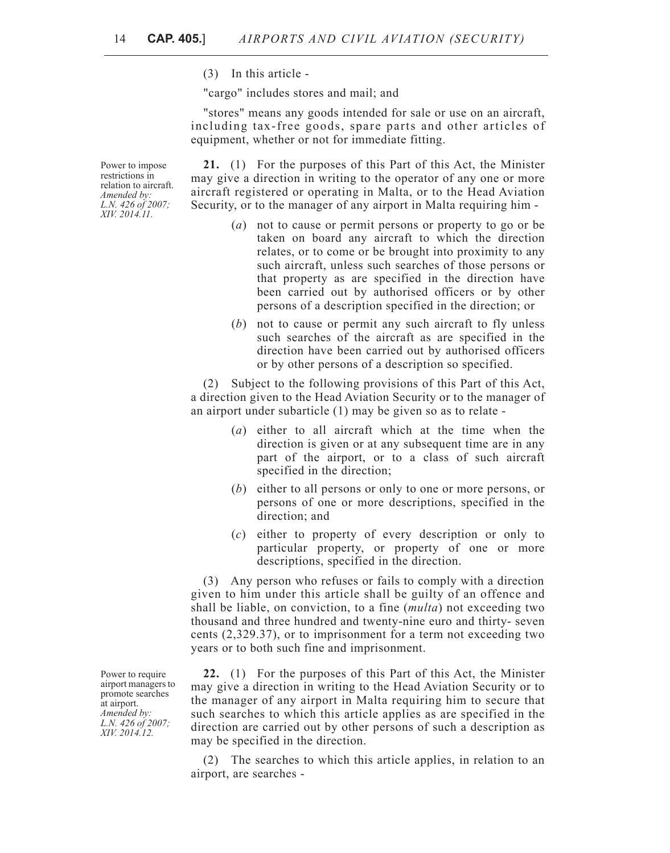(3) In this article -

"cargo" includes stores and mail; and

"stores" means any goods intended for sale or use on an aircraft, including tax-free goods, spare parts and other articles of equipment, whether or not for immediate fitting.

**21.** (1) For the purposes of this Part of this Act, the Minister may give a direction in writing to the operator of any one or more aircraft registered or operating in Malta, or to the Head Aviation Security, or to the manager of any airport in Malta requiring him -

- (*a*) not to cause or permit persons or property to go or be taken on board any aircraft to which the direction relates, or to come or be brought into proximity to any such aircraft, unless such searches of those persons or that property as are specified in the direction have been carried out by authorised officers or by other persons of a description specified in the direction; or
- (*b*) not to cause or permit any such aircraft to fly unless such searches of the aircraft as are specified in the direction have been carried out by authorised officers or by other persons of a description so specified.

(2) Subject to the following provisions of this Part of this Act, a direction given to the Head Aviation Security or to the manager of an airport under subarticle (1) may be given so as to relate -

- (*a*) either to all aircraft which at the time when the direction is given or at any subsequent time are in any part of the airport, or to a class of such aircraft specified in the direction;
- (*b*) either to all persons or only to one or more persons, or persons of one or more descriptions, specified in the direction; and
- (*c*) either to property of every description or only to particular property, or property of one or more descriptions, specified in the direction.

(3) Any person who refuses or fails to comply with a direction given to him under this article shall be guilty of an offence and shall be liable, on conviction, to a fine (*multa*) not exceeding two thousand and three hundred and twenty-nine euro and thirty- seven cents (2,329.37), or to imprisonment for a term not exceeding two years or to both such fine and imprisonment.

**22.** (1) For the purposes of this Part of this Act, the Minister may give a direction in writing to the Head Aviation Security or to the manager of any airport in Malta requiring him to secure that such searches to which this article applies as are specified in the direction are carried out by other persons of such a description as may be specified in the direction.

(2) The searches to which this article applies, in relation to an airport, are searches -

Power to require airport managers to promote searches at airport. *Amended by: L.N. 426 of 2007;*

*XIV. 2014.12.*

Power to impose restrictions in relation to aircraft. *Amended by: L.N. 426 of 2007; XIV. 2014.11.*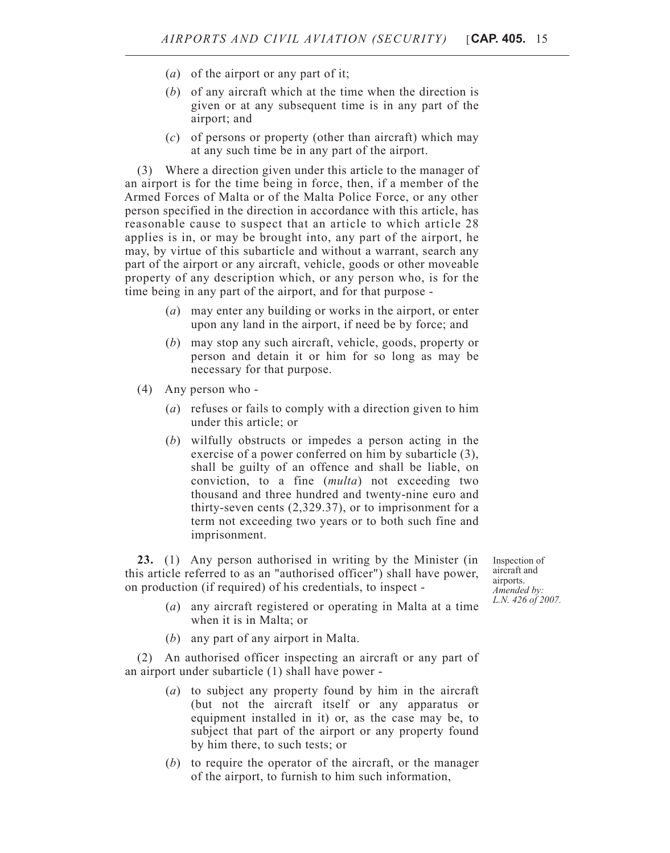- (*a*) of the airport or any part of it;
- (*b*) of any aircraft which at the time when the direction is given or at any subsequent time is in any part of the airport; and
- (*c*) of persons or property (other than aircraft) which may at any such time be in any part of the airport.

(3) Where a direction given under this article to the manager of an airport is for the time being in force, then, if a member of the Armed Forces of Malta or of the Malta Police Force, or any other person specified in the direction in accordance with this article, has reasonable cause to suspect that an article to which article 28 applies is in, or may be brought into, any part of the airport, he may, by virtue of this subarticle and without a warrant, search any part of the airport or any aircraft, vehicle, goods or other moveable property of any description which, or any person who, is for the time being in any part of the airport, and for that purpose -

- (*a*) may enter any building or works in the airport, or enter upon any land in the airport, if need be by force; and
- (*b*) may stop any such aircraft, vehicle, goods, property or person and detain it or him for so long as may be necessary for that purpose.
- (4) Any person who
	- (*a*) refuses or fails to comply with a direction given to him under this article; or
	- (*b*) wilfully obstructs or impedes a person acting in the exercise of a power conferred on him by subarticle (3), shall be guilty of an offence and shall be liable, on conviction, to a fine (*multa*) not exceeding two thousand and three hundred and twenty-nine euro and thirty-seven cents (2,329.37), or to imprisonment for a term not exceeding two years or to both such fine and imprisonment.

**23.** (1) Any person authorised in writing by the Minister (in this article referred to as an "authorised officer") shall have power, on production (if required) of his credentials, to inspect -

- (*a*) any aircraft registered or operating in Malta at a time when it is in Malta; or
- (*b*) any part of any airport in Malta.

(2) An authorised officer inspecting an aircraft or any part of an airport under subarticle (1) shall have power -

- (*a*) to subject any property found by him in the aircraft (but not the aircraft itself or any apparatus or equipment installed in it) or, as the case may be, to subject that part of the airport or any property found by him there, to such tests; or
- (*b*) to require the operator of the aircraft, or the manager of the airport, to furnish to him such information,

Inspection of aircraft and airports. *Amended by: L.N. 426 of 2007.*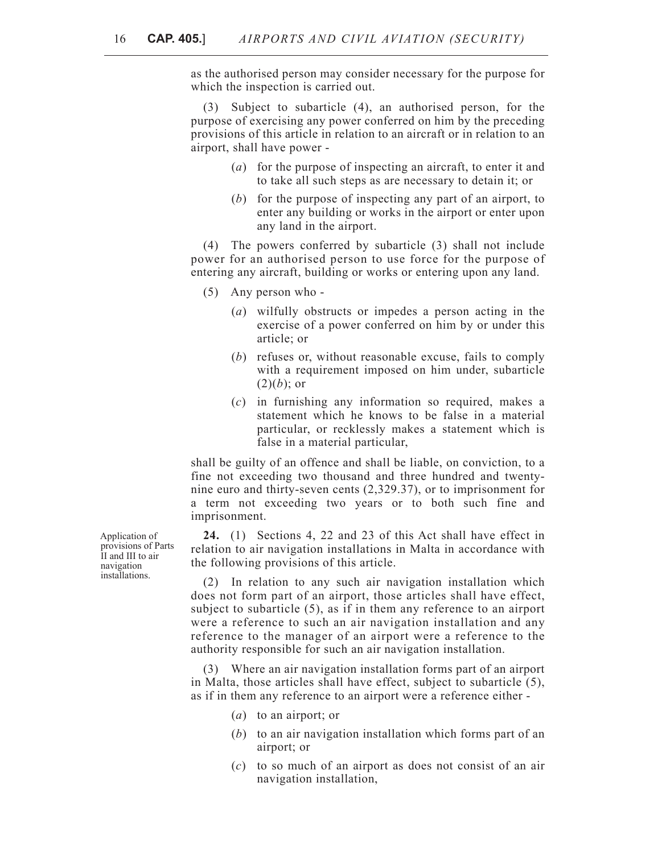as the authorised person may consider necessary for the purpose for which the inspection is carried out.

(3) Subject to subarticle (4), an authorised person, for the purpose of exercising any power conferred on him by the preceding provisions of this article in relation to an aircraft or in relation to an airport, shall have power -

- (*a*) for the purpose of inspecting an aircraft, to enter it and to take all such steps as are necessary to detain it; or
- (*b*) for the purpose of inspecting any part of an airport, to enter any building or works in the airport or enter upon any land in the airport.

(4) The powers conferred by subarticle (3) shall not include power for an authorised person to use force for the purpose of entering any aircraft, building or works or entering upon any land.

- (5) Any person who
	- (*a*) wilfully obstructs or impedes a person acting in the exercise of a power conferred on him by or under this article; or
	- (*b*) refuses or, without reasonable excuse, fails to comply with a requirement imposed on him under, subarticle  $(2)(b)$ ; or
	- (*c*) in furnishing any information so required, makes a statement which he knows to be false in a material particular, or recklessly makes a statement which is false in a material particular,

shall be guilty of an offence and shall be liable, on conviction, to a fine not exceeding two thousand and three hundred and twentynine euro and thirty-seven cents (2,329.37), or to imprisonment for a term not exceeding two years or to both such fine and imprisonment.

**24.** (1) Sections 4, 22 and 23 of this Act shall have effect in relation to air navigation installations in Malta in accordance with the following provisions of this article.

(2) In relation to any such air navigation installation which does not form part of an airport, those articles shall have effect, subject to subarticle (5), as if in them any reference to an airport were a reference to such an air navigation installation and any reference to the manager of an airport were a reference to the authority responsible for such an air navigation installation.

(3) Where an air navigation installation forms part of an airport in Malta, those articles shall have effect, subject to subarticle (5), as if in them any reference to an airport were a reference either -

- (*a*) to an airport; or
- (*b*) to an air navigation installation which forms part of an airport; or
- (*c*) to so much of an airport as does not consist of an air navigation installation,

Application of provisions of Parts II and III to air navigation installations.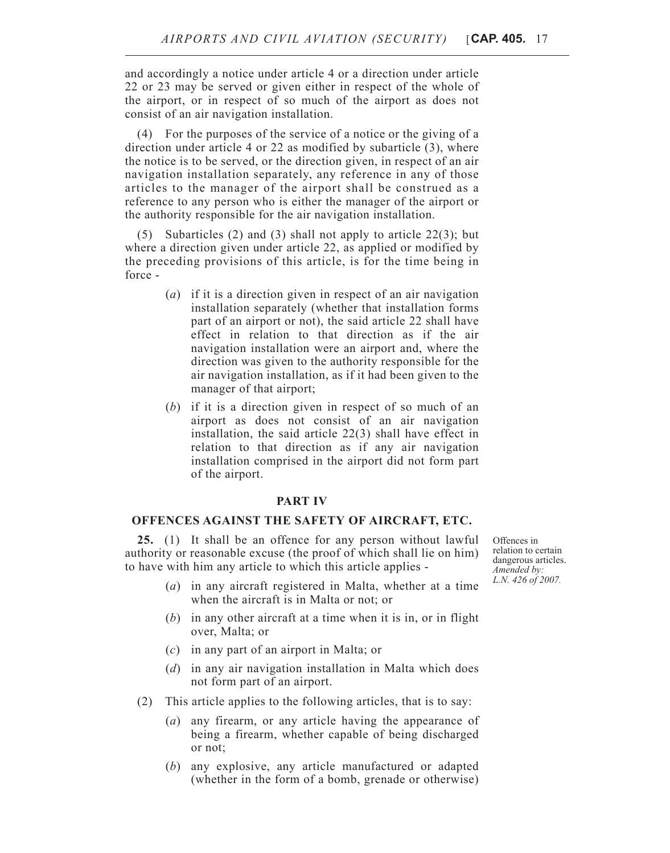and accordingly a notice under article 4 or a direction under article 22 or 23 may be served or given either in respect of the whole of the airport, or in respect of so much of the airport as does not consist of an air navigation installation.

(4) For the purposes of the service of a notice or the giving of a direction under article 4 or 22 as modified by subarticle (3), where the notice is to be served, or the direction given, in respect of an air navigation installation separately, any reference in any of those articles to the manager of the airport shall be construed as a reference to any person who is either the manager of the airport or the authority responsible for the air navigation installation.

(5) Subarticles (2) and (3) shall not apply to article 22(3); but where a direction given under article 22, as applied or modified by the preceding provisions of this article, is for the time being in force -

- (*a*) if it is a direction given in respect of an air navigation installation separately (whether that installation forms part of an airport or not), the said article 22 shall have effect in relation to that direction as if the air navigation installation were an airport and, where the direction was given to the authority responsible for the air navigation installation, as if it had been given to the manager of that airport;
- (*b*) if it is a direction given in respect of so much of an airport as does not consist of an air navigation installation, the said article 22(3) shall have effect in relation to that direction as if any air navigation installation comprised in the airport did not form part of the airport.

## **PART IV**

### **OFFENCES AGAINST THE SAFETY OF AIRCRAFT, ETC.**

**25.** (1) It shall be an offence for any person without lawful authority or reasonable excuse (the proof of which shall lie on him) to have with him any article to which this article applies -

Offences in relation to certain dangerous articles. *Amended by: L.N. 426 of 2007.*

- (*a*) in any aircraft registered in Malta, whether at a time when the aircraft is in Malta or not; or
- (*b*) in any other aircraft at a time when it is in, or in flight over, Malta; or
- (*c*) in any part of an airport in Malta; or
- (*d*) in any air navigation installation in Malta which does not form part of an airport.
- (2) This article applies to the following articles, that is to say:
	- (*a*) any firearm, or any article having the appearance of being a firearm, whether capable of being discharged or not;
	- (*b*) any explosive, any article manufactured or adapted (whether in the form of a bomb, grenade or otherwise)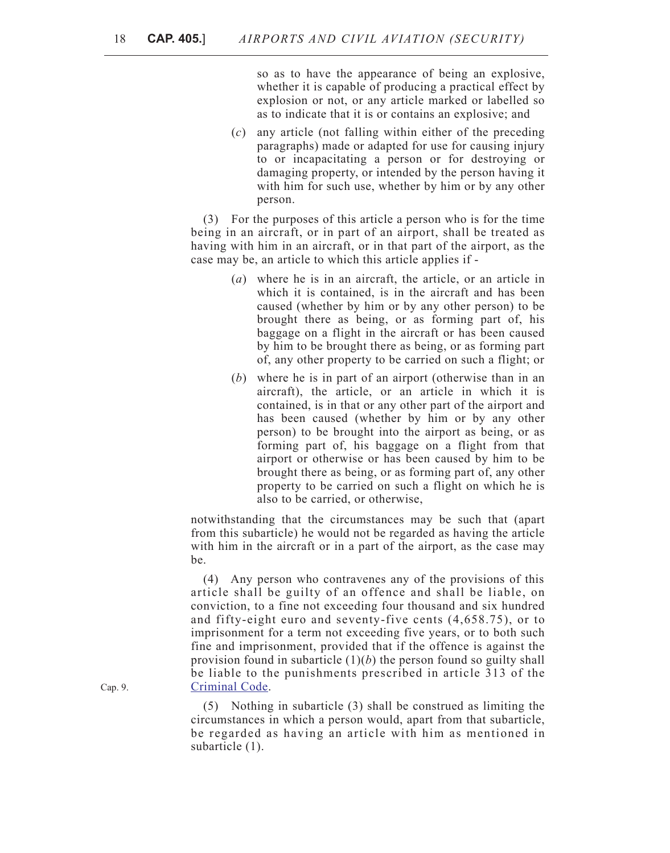so as to have the appearance of being an explosive, whether it is capable of producing a practical effect by explosion or not, or any article marked or labelled so as to indicate that it is or contains an explosive; and

(*c*) any article (not falling within either of the preceding paragraphs) made or adapted for use for causing injury to or incapacitating a person or for destroying or damaging property, or intended by the person having it with him for such use, whether by him or by any other person.

(3) For the purposes of this article a person who is for the time being in an aircraft, or in part of an airport, shall be treated as having with him in an aircraft, or in that part of the airport, as the case may be, an article to which this article applies if -

- (*a*) where he is in an aircraft, the article, or an article in which it is contained, is in the aircraft and has been caused (whether by him or by any other person) to be brought there as being, or as forming part of, his baggage on a flight in the aircraft or has been caused by him to be brought there as being, or as forming part of, any other property to be carried on such a flight; or
- (*b*) where he is in part of an airport (otherwise than in an aircraft), the article, or an article in which it is contained, is in that or any other part of the airport and has been caused (whether by him or by any other person) to be brought into the airport as being, or as forming part of, his baggage on a flight from that airport or otherwise or has been caused by him to be brought there as being, or as forming part of, any other property to be carried on such a flight on which he is also to be carried, or otherwise,

notwithstanding that the circumstances may be such that (apart from this subarticle) he would not be regarded as having the article with him in the aircraft or in a part of the airport, as the case may be.

(4) Any person who contravenes any of the provisions of this article shall be guilty of an offence and shall be liable, on conviction, to a fine not exceeding four thousand and six hundred and fifty-eight euro and seventy-five cents (4,658.75), or to imprisonment for a term not exceeding five years, or to both such fine and imprisonment, provided that if the offence is against the provision found in subarticle  $(1)(b)$  the person found so guilty shall be liable to the punishments prescribed in article 313 of the [Criminal Code.](http://www.justiceservices.gov.mt/DownloadDocument.aspx?app=lom&itemid=8574&l=1)

(5) Nothing in subarticle (3) shall be construed as limiting the circumstances in which a person would, apart from that subarticle, be regarded as having an article with him as mentioned in subarticle (1).

Cap. 9.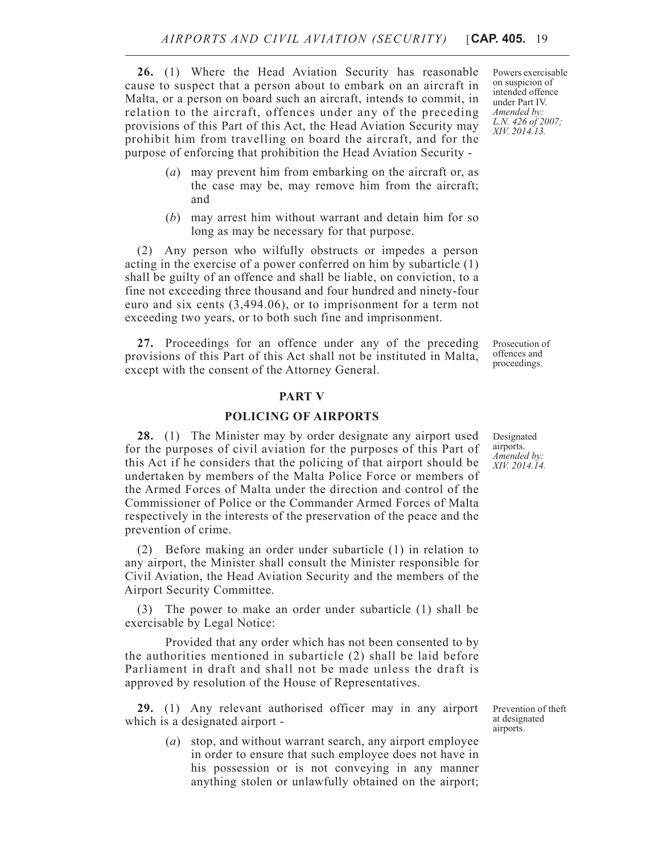**26.** (1) Where the Head Aviation Security has reasonable cause to suspect that a person about to embark on an aircraft in Malta, or a person on board such an aircraft, intends to commit, in relation to the aircraft, offences under any of the preceding provisions of this Part of this Act, the Head Aviation Security may prohibit him from travelling on board the aircraft, and for the purpose of enforcing that prohibition the Head Aviation Security -

- (*a*) may prevent him from embarking on the aircraft or, as the case may be, may remove him from the aircraft; and
- (*b*) may arrest him without warrant and detain him for so long as may be necessary for that purpose.

(2) Any person who wilfully obstructs or impedes a person acting in the exercise of a power conferred on him by subarticle (1) shall be guilty of an offence and shall be liable, on conviction, to a fine not exceeding three thousand and four hundred and ninety-four euro and six cents (3,494.06), or to imprisonment for a term not exceeding two years, or to both such fine and imprisonment.

**27.** Proceedings for an offence under any of the preceding provisions of this Part of this Act shall not be instituted in Malta, except with the consent of the Attorney General.

#### **PART V**

## **POLICING OF AIRPORTS**

**28.** (1) The Minister may by order designate any airport used for the purposes of civil aviation for the purposes of this Part of this Act if he considers that the policing of that airport should be undertaken by members of the Malta Police Force or members of the Armed Forces of Malta under the direction and control of the Commissioner of Police or the Commander Armed Forces of Malta respectively in the interests of the preservation of the peace and the prevention of crime.

(2) Before making an order under subarticle (1) in relation to any airport, the Minister shall consult the Minister responsible for Civil Aviation, the Head Aviation Security and the members of the Airport Security Committee.

(3) The power to make an order under subarticle (1) shall be exercisable by Legal Notice:

Provided that any order which has not been consented to by the authorities mentioned in subarticle (2) shall be laid before Parliament in draft and shall not be made unless the draft is approved by resolution of the House of Representatives.

**29.** (1) Any relevant authorised officer may in any airport which is a designated airport -

> (*a*) stop, and without warrant search, any airport employee in order to ensure that such employee does not have in his possession or is not conveying in any manner anything stolen or unlawfully obtained on the airport;

Powers exercisable on suspicion of intended offence under Part IV. *Amended by: L.N. 426 of 2007; XIV. 2014.13.*

Prosecution of offences and proceedings.

Designated airports. *Amended by: XIV. 2014.14.*

Prevention of theft at designated airports.